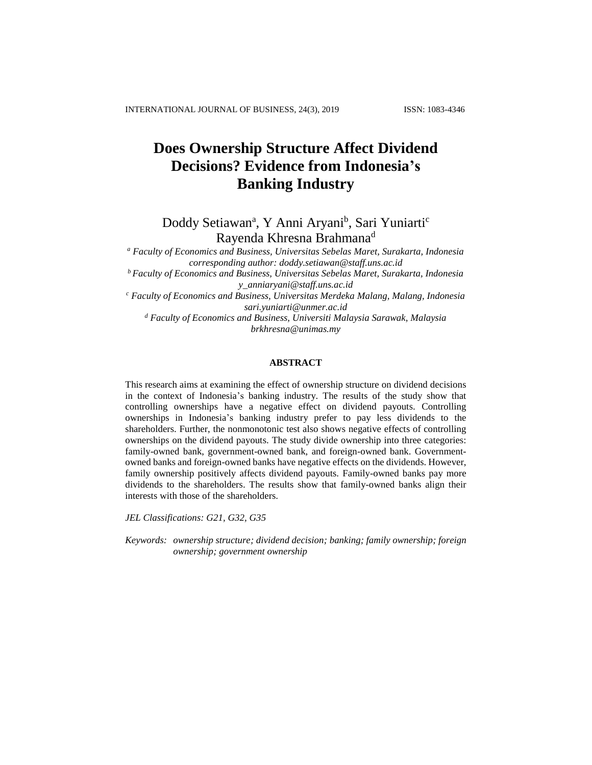# **Does Ownership Structure Affect Dividend Decisions? Evidence from Indonesia's Banking Industry**

Doddy Setiawan<sup>a</sup>, Y Anni Aryani<sup>b</sup>, Sari Yuniarti<sup>c</sup> Rayenda Khresna Brahmana<sup>d</sup>

*<sup>a</sup> Faculty of Economics and Business, Universitas Sebelas Maret, Surakarta, Indonesia corresponding author: doddy.setiawan@staff.uns.ac.id <sup>b</sup> Faculty of Economics and Business, Universitas Sebelas Maret, Surakarta, Indonesia y\_anniaryani@staff.uns.ac.id <sup>c</sup> Faculty of Economics and Business, Universitas Merdeka Malang, Malang, Indonesia*

*sari.yuniarti@unmer.ac.id <sup>d</sup> Faculty of Economics and Business, Universiti Malaysia Sarawak, Malaysia*

*brkhresna@unimas.my*

# **ABSTRACT**

This research aims at examining the effect of ownership structure on dividend decisions in the context of Indonesia's banking industry. The results of the study show that controlling ownerships have a negative effect on dividend payouts. Controlling ownerships in Indonesia's banking industry prefer to pay less dividends to the shareholders. Further, the nonmonotonic test also shows negative effects of controlling ownerships on the dividend payouts. The study divide ownership into three categories: family-owned bank, government-owned bank, and foreign-owned bank. Governmentowned banks and foreign-owned banks have negative effects on the dividends. However, family ownership positively affects dividend payouts. Family-owned banks pay more dividends to the shareholders. The results show that family-owned banks align their interests with those of the shareholders.

*JEL Classifications: G21, G32, G35*

*Keywords: ownership structure; dividend decision; banking; family ownership; foreign ownership; government ownership*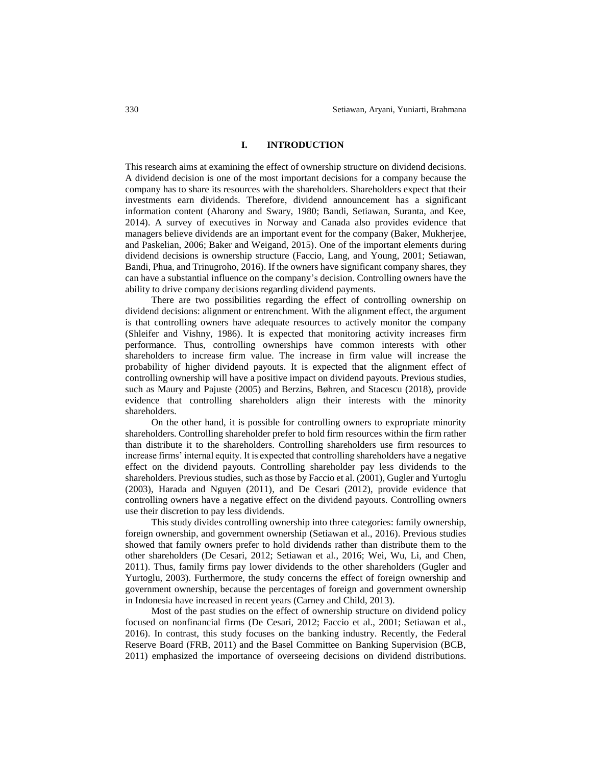### **I. INTRODUCTION**

This research aims at examining the effect of ownership structure on dividend decisions. A dividend decision is one of the most important decisions for a company because the company has to share its resources with the shareholders. Shareholders expect that their investments earn dividends. Therefore, dividend announcement has a significant information content (Aharony and Swary, 1980; Bandi, Setiawan, Suranta, and Kee, 2014). A survey of executives in Norway and Canada also provides evidence that managers believe dividends are an important event for the company (Baker, Mukherjee, and Paskelian, 2006; Baker and Weigand, 2015). One of the important elements during dividend decisions is ownership structure (Faccio, Lang, and Young, 2001; Setiawan, Bandi, Phua, and Trinugroho, 2016). If the owners have significant company shares, they can have a substantial influence on the company's decision. Controlling owners have the ability to drive company decisions regarding dividend payments.

There are two possibilities regarding the effect of controlling ownership on dividend decisions: alignment or entrenchment. With the alignment effect, the argument is that controlling owners have adequate resources to actively monitor the company (Shleifer and Vishny, 1986). It is expected that monitoring activity increases firm performance. Thus, controlling ownerships have common interests with other shareholders to increase firm value. The increase in firm value will increase the probability of higher dividend payouts. It is expected that the alignment effect of controlling ownership will have a positive impact on dividend payouts. Previous studies, such as Maury and Pajuste (2005) and Berzins, Bøhren, and Stacescu (2018), provide evidence that controlling shareholders align their interests with the minority shareholders.

On the other hand, it is possible for controlling owners to expropriate minority shareholders. Controlling shareholder prefer to hold firm resources within the firm rather than distribute it to the shareholders. Controlling shareholders use firm resources to increase firms' internal equity. It is expected that controlling shareholders have a negative effect on the dividend payouts. Controlling shareholder pay less dividends to the shareholders. Previous studies, such as those by Faccio et al. (2001), Gugler and Yurtoglu (2003), Harada and Nguyen (2011), and De Cesari (2012), provide evidence that controlling owners have a negative effect on the dividend payouts. Controlling owners use their discretion to pay less dividends.

This study divides controlling ownership into three categories: family ownership, foreign ownership, and government ownership (Setiawan et al., 2016). Previous studies showed that family owners prefer to hold dividends rather than distribute them to the other shareholders (De Cesari, 2012; Setiawan et al., 2016; Wei, Wu, Li, and Chen, 2011). Thus, family firms pay lower dividends to the other shareholders (Gugler and Yurtoglu, 2003). Furthermore, the study concerns the effect of foreign ownership and government ownership, because the percentages of foreign and government ownership in Indonesia have increased in recent years (Carney and Child, 2013).

Most of the past studies on the effect of ownership structure on dividend policy focused on nonfinancial firms (De Cesari, 2012; Faccio et al., 2001; Setiawan et al., 2016). In contrast, this study focuses on the banking industry. Recently, the Federal Reserve Board (FRB, 2011) and the Basel Committee on Banking Supervision (BCB, 2011) emphasized the importance of overseeing decisions on dividend distributions.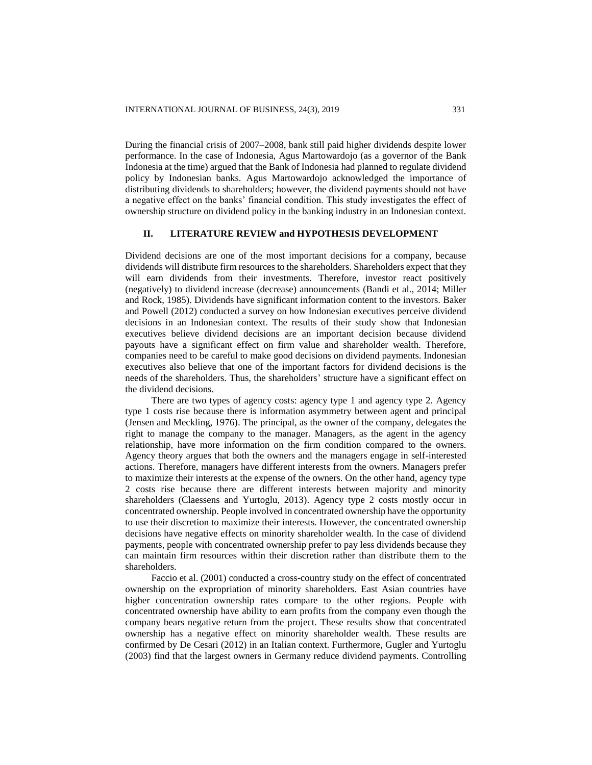During the financial crisis of 2007–2008, bank still paid higher dividends despite lower performance. In the case of Indonesia, Agus Martowardojo (as a governor of the Bank Indonesia at the time) argued that the Bank of Indonesia had planned to regulate dividend policy by Indonesian banks. Agus Martowardojo acknowledged the importance of distributing dividends to shareholders; however, the dividend payments should not have a negative effect on the banks' financial condition. This study investigates the effect of ownership structure on dividend policy in the banking industry in an Indonesian context.

# **II. LITERATURE REVIEW and HYPOTHESIS DEVELOPMENT**

Dividend decisions are one of the most important decisions for a company, because dividends will distribute firm resources to the shareholders. Shareholders expect that they will earn dividends from their investments. Therefore, investor react positively (negatively) to dividend increase (decrease) announcements (Bandi et al., 2014; Miller and Rock, 1985). Dividends have significant information content to the investors. Baker and Powell (2012) conducted a survey on how Indonesian executives perceive dividend decisions in an Indonesian context. The results of their study show that Indonesian executives believe dividend decisions are an important decision because dividend payouts have a significant effect on firm value and shareholder wealth. Therefore, companies need to be careful to make good decisions on dividend payments. Indonesian executives also believe that one of the important factors for dividend decisions is the needs of the shareholders. Thus, the shareholders' structure have a significant effect on the dividend decisions.

There are two types of agency costs: agency type 1 and agency type 2. Agency type 1 costs rise because there is information asymmetry between agent and principal (Jensen and Meckling, 1976). The principal, as the owner of the company, delegates the right to manage the company to the manager. Managers, as the agent in the agency relationship, have more information on the firm condition compared to the owners. Agency theory argues that both the owners and the managers engage in self-interested actions. Therefore, managers have different interests from the owners. Managers prefer to maximize their interests at the expense of the owners. On the other hand, agency type 2 costs rise because there are different interests between majority and minority shareholders (Claessens and Yurtoglu, 2013). Agency type 2 costs mostly occur in concentrated ownership. People involved in concentrated ownership have the opportunity to use their discretion to maximize their interests. However, the concentrated ownership decisions have negative effects on minority shareholder wealth. In the case of dividend payments, people with concentrated ownership prefer to pay less dividends because they can maintain firm resources within their discretion rather than distribute them to the shareholders.

Faccio et al. (2001) conducted a cross-country study on the effect of concentrated ownership on the expropriation of minority shareholders. East Asian countries have higher concentration ownership rates compare to the other regions. People with concentrated ownership have ability to earn profits from the company even though the company bears negative return from the project. These results show that concentrated ownership has a negative effect on minority shareholder wealth. These results are confirmed by De Cesari (2012) in an Italian context. Furthermore, Gugler and Yurtoglu (2003) find that the largest owners in Germany reduce dividend payments. Controlling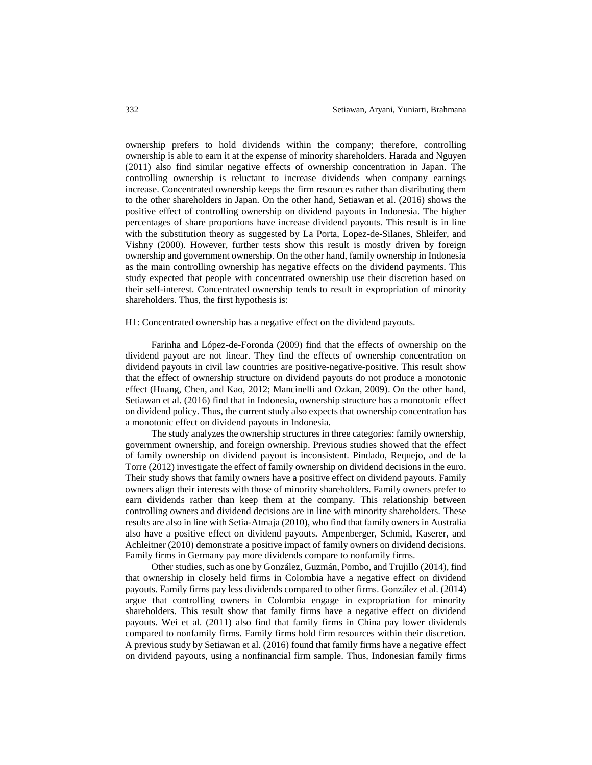ownership prefers to hold dividends within the company; therefore, controlling ownership is able to earn it at the expense of minority shareholders. Harada and Nguyen (2011) also find similar negative effects of ownership concentration in Japan. The controlling ownership is reluctant to increase dividends when company earnings increase. Concentrated ownership keeps the firm resources rather than distributing them to the other shareholders in Japan. On the other hand, Setiawan et al. (2016) shows the positive effect of controlling ownership on dividend payouts in Indonesia. The higher percentages of share proportions have increase dividend payouts. This result is in line with the substitution theory as suggested by La Porta, Lopez-de-Silanes, Shleifer, and Vishny (2000). However, further tests show this result is mostly driven by foreign ownership and government ownership. On the other hand, family ownership in Indonesia as the main controlling ownership has negative effects on the dividend payments. This study expected that people with concentrated ownership use their discretion based on their self-interest. Concentrated ownership tends to result in expropriation of minority shareholders. Thus, the first hypothesis is:

## H1: Concentrated ownership has a negative effect on the dividend payouts.

Farinha and López-de-Foronda (2009) find that the effects of ownership on the dividend payout are not linear. They find the effects of ownership concentration on dividend payouts in civil law countries are positive-negative-positive. This result show that the effect of ownership structure on dividend payouts do not produce a monotonic effect (Huang, Chen, and Kao, 2012; Mancinelli and Ozkan, 2009). On the other hand, Setiawan et al. (2016) find that in Indonesia, ownership structure has a monotonic effect on dividend policy. Thus, the current study also expects that ownership concentration has a monotonic effect on dividend payouts in Indonesia.

The study analyzes the ownership structures in three categories: family ownership, government ownership, and foreign ownership. Previous studies showed that the effect of family ownership on dividend payout is inconsistent. Pindado, Requejo, and de la Torre (2012) investigate the effect of family ownership on dividend decisions in the euro. Their study shows that family owners have a positive effect on dividend payouts. Family owners align their interests with those of minority shareholders. Family owners prefer to earn dividends rather than keep them at the company. This relationship between controlling owners and dividend decisions are in line with minority shareholders. These results are also in line with Setia-Atmaja (2010), who find that family owners in Australia also have a positive effect on dividend payouts. Ampenberger, Schmid, Kaserer, and Achleitner (2010) demonstrate a positive impact of family owners on dividend decisions. Family firms in Germany pay more dividends compare to nonfamily firms.

Other studies, such as one by González, Guzmán, Pombo, and Trujillo (2014), find that ownership in closely held firms in Colombia have a negative effect on dividend payouts. Family firms pay less dividends compared to other firms. González et al. (2014) argue that controlling owners in Colombia engage in expropriation for minority shareholders. This result show that family firms have a negative effect on dividend payouts. Wei et al. (2011) also find that family firms in China pay lower dividends compared to nonfamily firms. Family firms hold firm resources within their discretion. A previous study by Setiawan et al. (2016) found that family firms have a negative effect on dividend payouts, using a nonfinancial firm sample. Thus, Indonesian family firms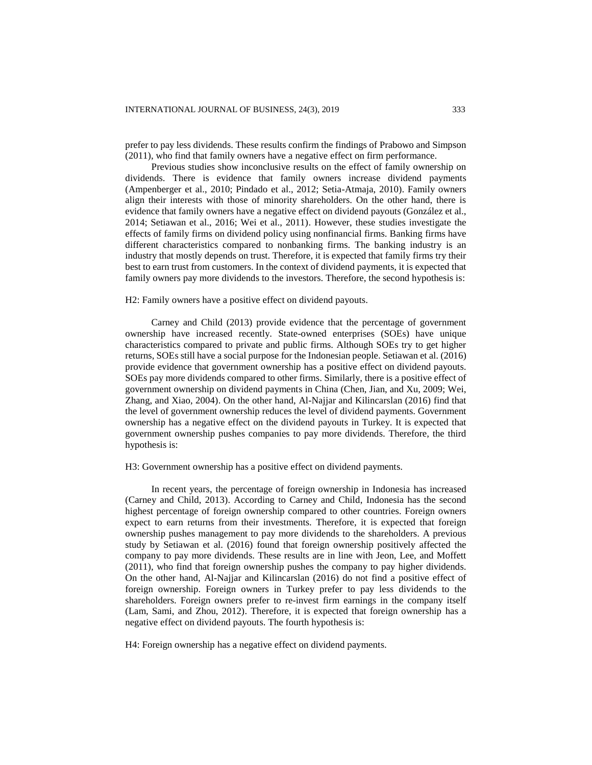prefer to pay less dividends. These results confirm the findings of Prabowo and Simpson (2011), who find that family owners have a negative effect on firm performance.

Previous studies show inconclusive results on the effect of family ownership on dividends. There is evidence that family owners increase dividend payments (Ampenberger et al., 2010; Pindado et al., 2012; Setia-Atmaja, 2010). Family owners align their interests with those of minority shareholders. On the other hand, there is evidence that family owners have a negative effect on dividend payouts (González et al., 2014; Setiawan et al., 2016; Wei et al., 2011). However, these studies investigate the effects of family firms on dividend policy using nonfinancial firms. Banking firms have different characteristics compared to nonbanking firms. The banking industry is an industry that mostly depends on trust. Therefore, it is expected that family firms try their best to earn trust from customers. In the context of dividend payments, it is expected that family owners pay more dividends to the investors. Therefore, the second hypothesis is:

## H2: Family owners have a positive effect on dividend payouts.

Carney and Child (2013) provide evidence that the percentage of government ownership have increased recently. State-owned enterprises (SOEs) have unique characteristics compared to private and public firms. Although SOEs try to get higher returns, SOEs still have a social purpose for the Indonesian people. Setiawan et al. (2016) provide evidence that government ownership has a positive effect on dividend payouts. SOEs pay more dividends compared to other firms. Similarly, there is a positive effect of government ownership on dividend payments in China (Chen, Jian, and Xu, 2009; Wei, Zhang, and Xiao, 2004). On the other hand, Al-Najjar and Kilincarslan (2016) find that the level of government ownership reduces the level of dividend payments. Government ownership has a negative effect on the dividend payouts in Turkey. It is expected that government ownership pushes companies to pay more dividends. Therefore, the third hypothesis is:

H3: Government ownership has a positive effect on dividend payments.

In recent years, the percentage of foreign ownership in Indonesia has increased (Carney and Child, 2013). According to Carney and Child, Indonesia has the second highest percentage of foreign ownership compared to other countries. Foreign owners expect to earn returns from their investments. Therefore, it is expected that foreign ownership pushes management to pay more dividends to the shareholders. A previous study by Setiawan et al. (2016) found that foreign ownership positively affected the company to pay more dividends. These results are in line with Jeon, Lee, and Moffett (2011), who find that foreign ownership pushes the company to pay higher dividends. On the other hand, Al-Najjar and Kilincarslan (2016) do not find a positive effect of foreign ownership. Foreign owners in Turkey prefer to pay less dividends to the shareholders. Foreign owners prefer to re-invest firm earnings in the company itself (Lam, Sami, and Zhou, 2012). Therefore, it is expected that foreign ownership has a negative effect on dividend payouts. The fourth hypothesis is:

H4: Foreign ownership has a negative effect on dividend payments.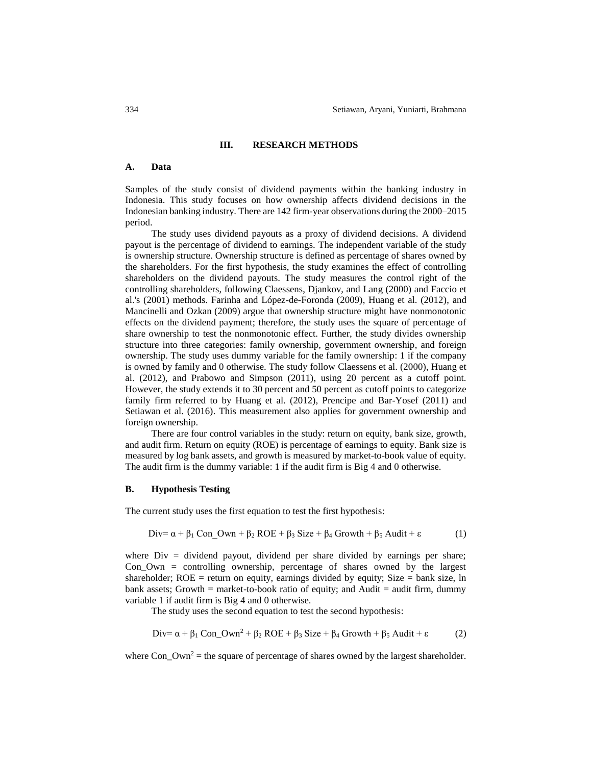#### **III. RESEARCH METHODS**

## **A. Data**

Samples of the study consist of dividend payments within the banking industry in Indonesia. This study focuses on how ownership affects dividend decisions in the Indonesian banking industry. There are 142 firm-year observations during the 2000–2015 period.

The study uses dividend payouts as a proxy of dividend decisions. A dividend payout is the percentage of dividend to earnings. The independent variable of the study is ownership structure. Ownership structure is defined as percentage of shares owned by the shareholders. For the first hypothesis, the study examines the effect of controlling shareholders on the dividend payouts. The study measures the control right of the controlling shareholders, following Claessens, Djankov, and Lang (2000) and Faccio et al.'s (2001) methods. Farinha and López-de-Foronda (2009), Huang et al. (2012), and Mancinelli and Ozkan (2009) argue that ownership structure might have nonmonotonic effects on the dividend payment; therefore, the study uses the square of percentage of share ownership to test the nonmonotonic effect. Further, the study divides ownership structure into three categories: family ownership, government ownership, and foreign ownership. The study uses dummy variable for the family ownership: 1 if the company is owned by family and 0 otherwise. The study follow Claessens et al. (2000), Huang et al. (2012), and Prabowo and Simpson (2011), using 20 percent as a cutoff point. However, the study extends it to 30 percent and 50 percent as cutoff points to categorize family firm referred to by Huang et al. (2012), Prencipe and Bar-Yosef (2011) and Setiawan et al. (2016). This measurement also applies for government ownership and foreign ownership.

There are four control variables in the study: return on equity, bank size, growth, and audit firm. Return on equity (ROE) is percentage of earnings to equity. Bank size is measured by log bank assets, and growth is measured by market-to-book value of equity. The audit firm is the dummy variable: 1 if the audit firm is Big 4 and 0 otherwise.

#### **B. Hypothesis Testing**

The current study uses the first equation to test the first hypothesis:

$$
Div = \alpha + \beta_1 Con\_{\text{Our}} + \beta_2 ROE + \beta_3 Size + \beta_4 Growth + \beta_5 \text{ Audi} + \epsilon
$$
 (1)

where  $Div = dividend$  payout, dividend per share divided by earnings per share; Con\_Own = controlling ownership, percentage of shares owned by the largest shareholder;  $ROE =$  return on equity, earnings divided by equity; Size = bank size, ln bank assets; Growth = market-to-book ratio of equity; and Audit = audit firm, dummy variable 1 if audit firm is Big 4 and 0 otherwise.

The study uses the second equation to test the second hypothesis:

$$
Div = \alpha + \beta_1 Con\_ Own^2 + \beta_2 ROE + \beta_3 Size + \beta_4 Growth + \beta_5 Adult + \epsilon
$$
 (2)

where  $Con\_Own^2$  = the square of percentage of shares owned by the largest shareholder.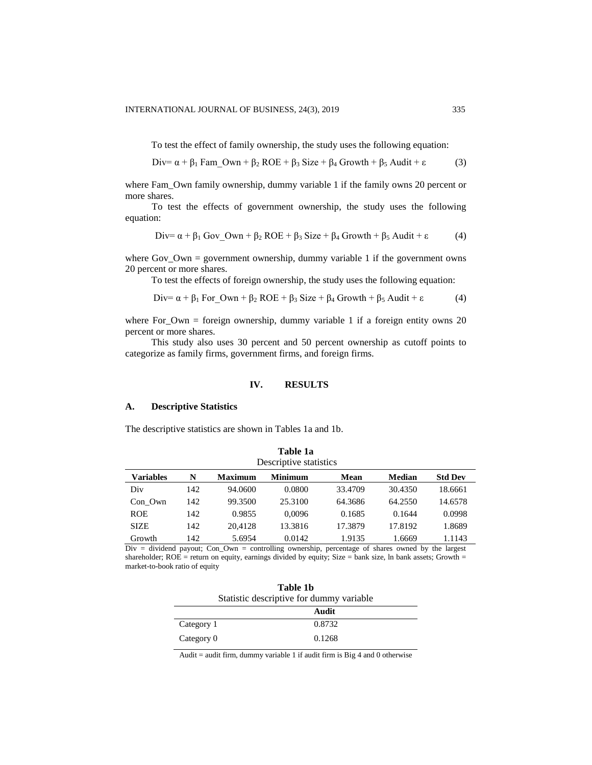To test the effect of family ownership, the study uses the following equation:

$$
Div = \alpha + \beta_1 \text{ Fam\_Own} + \beta_2 \text{ROE} + \beta_3 \text{ Size} + \beta_4 \text{Growth} + \beta_5 \text{ Audi} + \epsilon \tag{3}
$$

where Fam\_Own family ownership, dummy variable 1 if the family owns 20 percent or more shares.

To test the effects of government ownership, the study uses the following equation:

$$
Div = \alpha + \beta_1 \text{ Gov}_2 \text{ Own} + \beta_2 \text{ROE} + \beta_3 \text{ Size} + \beta_4 \text{ Growth} + \beta_5 \text{ Audi} + \epsilon \tag{4}
$$

where  $Gov_{\text{}}Own =$  government ownership, dummy variable 1 if the government owns 20 percent or more shares.

To test the effects of foreign ownership, the study uses the following equation:

$$
Div = \alpha + \beta_1 For\_ Own + \beta_2 ROE + \beta_3 Size + \beta_4 Growth + \beta_5 Adult + \epsilon
$$
 (4)

where For\_Own = foreign ownership, dummy variable 1 if a foreign entity owns 20 percent or more shares.

This study also uses 30 percent and 50 percent ownership as cutoff points to categorize as family firms, government firms, and foreign firms.

## **IV. RESULTS**

## **A. Descriptive Statistics**

The descriptive statistics are shown in Tables 1a and 1b.

| .<br>Descriptive statistics |     |                |                |         |               |                |
|-----------------------------|-----|----------------|----------------|---------|---------------|----------------|
| <b>Variables</b>            | N   | <b>Maximum</b> | <b>Minimum</b> | Mean    | <b>Median</b> | <b>Std Dev</b> |
| Div                         | 142 | 94.0600        | 0.0800         | 33.4709 | 30.4350       | 18.6661        |
| Con Own                     | 142 | 99.3500        | 25.3100        | 64.3686 | 64.2550       | 14.6578        |
| <b>ROE</b>                  | 142 | 0.9855         | 0.0096         | 0.1685  | 0.1644        | 0.0998         |
| <b>SIZE</b>                 | 142 | 20.4128        | 13.3816        | 17.3879 | 17.8192       | 1.8689         |
| Growth                      | 142 | 5.6954         | 0.0142         | 1.9135  | 1.6669        | 1.1143         |

**Table 1a** 

Div = dividend payout; Con\_Own = controlling ownership, percentage of shares owned by the largest shareholder; ROE = return on equity, earnings divided by equity; Size = bank size, ln bank assets; Growth = market-to-book ratio of equity

| Table 1b                                 |  |  |  |
|------------------------------------------|--|--|--|
| Statistic descriptive for dummy variable |  |  |  |
|                                          |  |  |  |

|            | Audit  |
|------------|--------|
| Category 1 | 0.8732 |
| Category 0 | 0.1268 |

Audit = audit firm, dummy variable 1 if audit firm is Big 4 and 0 otherwise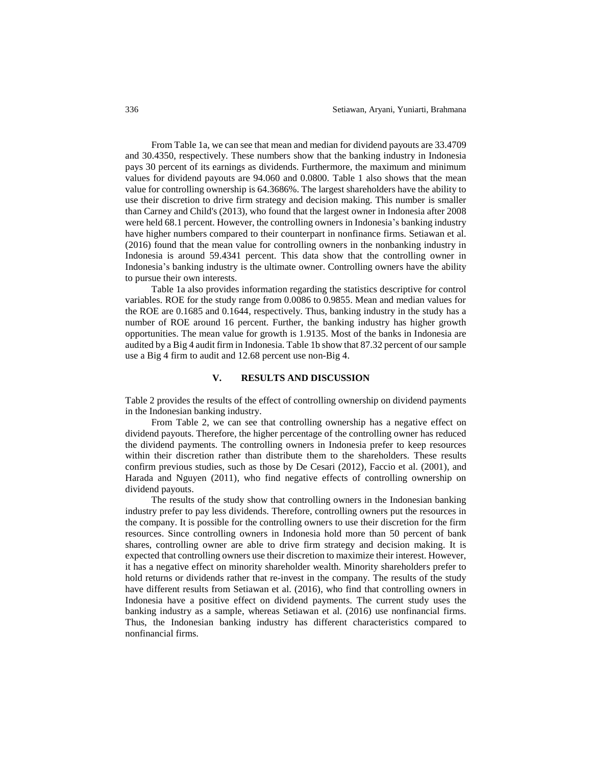From Table 1a, we can see that mean and median for dividend payouts are 33.4709 and 30.4350, respectively. These numbers show that the banking industry in Indonesia pays 30 percent of its earnings as dividends. Furthermore, the maximum and minimum values for dividend payouts are 94.060 and 0.0800. Table 1 also shows that the mean value for controlling ownership is 64.3686%. The largest shareholders have the ability to use their discretion to drive firm strategy and decision making. This number is smaller than Carney and Child's (2013), who found that the largest owner in Indonesia after 2008 were held 68.1 percent. However, the controlling owners in Indonesia's banking industry have higher numbers compared to their counterpart in nonfinance firms. Setiawan et al. (2016) found that the mean value for controlling owners in the nonbanking industry in Indonesia is around 59.4341 percent. This data show that the controlling owner in Indonesia's banking industry is the ultimate owner. Controlling owners have the ability to pursue their own interests.

Table 1a also provides information regarding the statistics descriptive for control variables. ROE for the study range from 0.0086 to 0.9855. Mean and median values for the ROE are 0.1685 and 0.1644, respectively. Thus, banking industry in the study has a number of ROE around 16 percent. Further, the banking industry has higher growth opportunities. The mean value for growth is 1.9135. Most of the banks in Indonesia are audited by a Big 4 audit firm in Indonesia. Table 1b show that 87.32 percent of our sample use a Big 4 firm to audit and 12.68 percent use non-Big 4.

#### **V. RESULTS AND DISCUSSION**

Table 2 provides the results of the effect of controlling ownership on dividend payments in the Indonesian banking industry.

From Table 2, we can see that controlling ownership has a negative effect on dividend payouts. Therefore, the higher percentage of the controlling owner has reduced the dividend payments. The controlling owners in Indonesia prefer to keep resources within their discretion rather than distribute them to the shareholders. These results confirm previous studies, such as those by De Cesari (2012), Faccio et al. (2001), and Harada and Nguyen (2011), who find negative effects of controlling ownership on dividend payouts.

The results of the study show that controlling owners in the Indonesian banking industry prefer to pay less dividends. Therefore, controlling owners put the resources in the company. It is possible for the controlling owners to use their discretion for the firm resources. Since controlling owners in Indonesia hold more than 50 percent of bank shares, controlling owner are able to drive firm strategy and decision making. It is expected that controlling owners use their discretion to maximize their interest. However, it has a negative effect on minority shareholder wealth. Minority shareholders prefer to hold returns or dividends rather that re-invest in the company. The results of the study have different results from Setiawan et al. (2016), who find that controlling owners in Indonesia have a positive effect on dividend payments. The current study uses the banking industry as a sample, whereas Setiawan et al. (2016) use nonfinancial firms. Thus, the Indonesian banking industry has different characteristics compared to nonfinancial firms.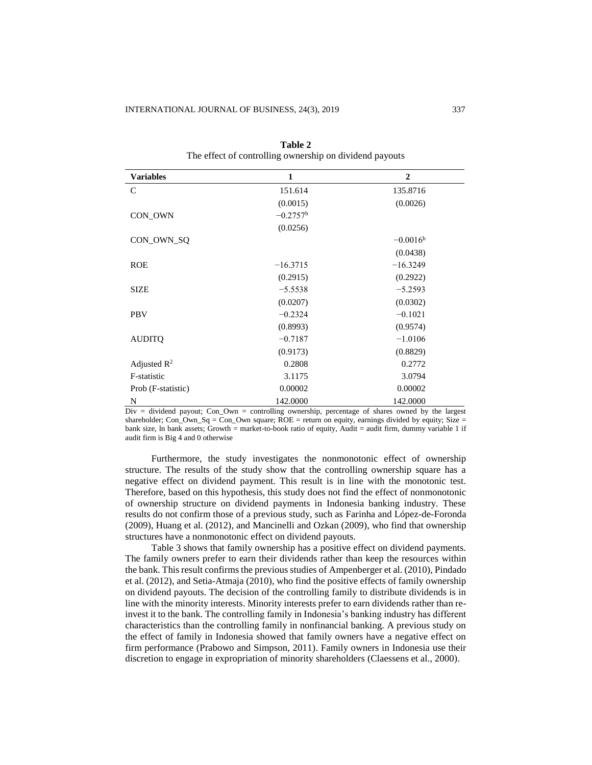| <b>Variables</b>        | 1                 | $\mathbf{2}$      |
|-------------------------|-------------------|-------------------|
| C                       | 151.614           | 135.8716          |
|                         | (0.0015)          | (0.0026)          |
| CON_OWN                 | $-0.2757^{\rm b}$ |                   |
|                         | (0.0256)          |                   |
| CON_OWN_SQ              |                   | $-0.0016^{\rm b}$ |
|                         |                   | (0.0438)          |
| <b>ROE</b>              | $-16.3715$        | $-16.3249$        |
|                         | (0.2915)          | (0.2922)          |
| <b>SIZE</b>             | $-5.5538$         | $-5.2593$         |
|                         | (0.0207)          | (0.0302)          |
| <b>PBV</b>              | $-0.2324$         | $-0.1021$         |
|                         | (0.8993)          | (0.9574)          |
| <b>AUDITQ</b>           | $-0.7187$         | $-1.0106$         |
|                         | (0.9173)          | (0.8829)          |
| Adjusted $\mathbb{R}^2$ | 0.2808            | 0.2772            |
| F-statistic             | 3.1175            | 3.0794            |
| Prob (F-statistic)      | 0.00002           | 0.00002           |
| N                       | 142.0000          | 142.0000          |

**Table 2** The effect of controlling ownership on dividend payouts

Div = dividend payout; Con\_Own = controlling ownership, percentage of shares owned by the largest shareholder; Con\_Own\_Sq = Con\_Own square;  $ROE =$  return on equity, earnings divided by equity; Size = bank size, ln bank assets; Growth = market-to-book ratio of equity, Audit = audit firm, dummy variable 1 if audit firm is Big 4 and 0 otherwise

Furthermore, the study investigates the nonmonotonic effect of ownership structure. The results of the study show that the controlling ownership square has a negative effect on dividend payment. This result is in line with the monotonic test. Therefore, based on this hypothesis, this study does not find the effect of nonmonotonic of ownership structure on dividend payments in Indonesia banking industry. These results do not confirm those of a previous study, such as Farinha and López-de-Foronda (2009), Huang et al. (2012), and Mancinelli and Ozkan (2009), who find that ownership structures have a nonmonotonic effect on dividend payouts.

Table 3 shows that family ownership has a positive effect on dividend payments. The family owners prefer to earn their dividends rather than keep the resources within the bank. This result confirms the previous studies of Ampenberger et al. (2010), Pindado et al. (2012), and Setia-Atmaja (2010), who find the positive effects of family ownership on dividend payouts. The decision of the controlling family to distribute dividends is in line with the minority interests. Minority interests prefer to earn dividends rather than reinvest it to the bank. The controlling family in Indonesia's banking industry has different characteristics than the controlling family in nonfinancial banking. A previous study on the effect of family in Indonesia showed that family owners have a negative effect on firm performance (Prabowo and Simpson, 2011). Family owners in Indonesia use their discretion to engage in expropriation of minority shareholders (Claessens et al., 2000).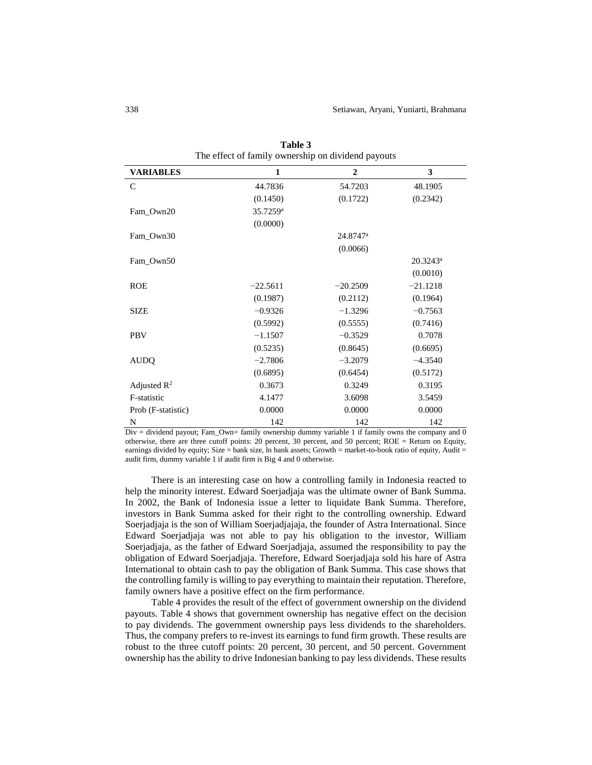| <b>VARIABLES</b>        | 1                    | $\mathbf{2}$         | 3           |
|-------------------------|----------------------|----------------------|-------------|
| $\mathcal{C}$           | 44.7836              | 54.7203              | 48.1905     |
|                         | (0.1450)             | (0.1722)             | (0.2342)    |
| Fam_Own20               | 35.7259 <sup>a</sup> |                      |             |
|                         | (0.0000)             |                      |             |
| Fam_Own30               |                      | 24.8747 <sup>a</sup> |             |
|                         |                      | (0.0066)             |             |
| Fam_Own50               |                      |                      | $20.3243^a$ |
|                         |                      |                      | (0.0010)    |
| <b>ROE</b>              | $-22.5611$           | $-20.2509$           | $-21.1218$  |
|                         | (0.1987)             | (0.2112)             | (0.1964)    |
| <b>SIZE</b>             | $-0.9326$            | $-1.3296$            | $-0.7563$   |
|                         | (0.5992)             | (0.5555)             | (0.7416)    |
| <b>PBV</b>              | $-1.1507$            | $-0.3529$            | 0.7078      |
|                         | (0.5235)             | (0.8645)             | (0.6695)    |
| <b>AUDQ</b>             | $-2.7806$            | $-3.2079$            | $-4.3540$   |
|                         | (0.6895)             | (0.6454)             | (0.5172)    |
| Adjusted $\mathbb{R}^2$ | 0.3673               | 0.3249               | 0.3195      |
| F-statistic             | 4.1477               | 3.6098               | 3.5459      |
| Prob (F-statistic)      | 0.0000               | 0.0000               | 0.0000      |
| N                       | 142                  | 142                  | 142         |

**Table 3** The effect of family ownership on dividend payouts

Div = dividend payout; Fam\_Own= family ownership dummy variable 1 if family owns the company and  $\overline{0}$ otherwise, there are three cutoff points: 20 percent, 30 percent, and 50 percent; ROE = Return on Equity, earnings divided by equity; Size = bank size, ln bank assets; Growth = market-to-book ratio of equity, Audit = audit firm, dummy variable 1 if audit firm is Big 4 and 0 otherwise.

There is an interesting case on how a controlling family in Indonesia reacted to help the minority interest. Edward Soerjadjaja was the ultimate owner of Bank Summa. In 2002, the Bank of Indonesia issue a letter to liquidate Bank Summa. Therefore, investors in Bank Summa asked for their right to the controlling ownership. Edward Soerjadjaja is the son of William Soerjadjajaja, the founder of Astra International. Since Edward Soerjadjaja was not able to pay his obligation to the investor, William Soerjadjaja, as the father of Edward Soerjadjaja, assumed the responsibility to pay the obligation of Edward Soerjadjaja. Therefore, Edward Soerjadjaja sold his hare of Astra International to obtain cash to pay the obligation of Bank Summa. This case shows that the controlling family is willing to pay everything to maintain their reputation. Therefore, family owners have a positive effect on the firm performance.

Table 4 provides the result of the effect of government ownership on the dividend payouts. Table 4 shows that government ownership has negative effect on the decision to pay dividends. The government ownership pays less dividends to the shareholders. Thus, the company prefers to re-invest its earnings to fund firm growth. These results are robust to the three cutoff points: 20 percent, 30 percent, and 50 percent. Government ownership has the ability to drive Indonesian banking to pay less dividends. These results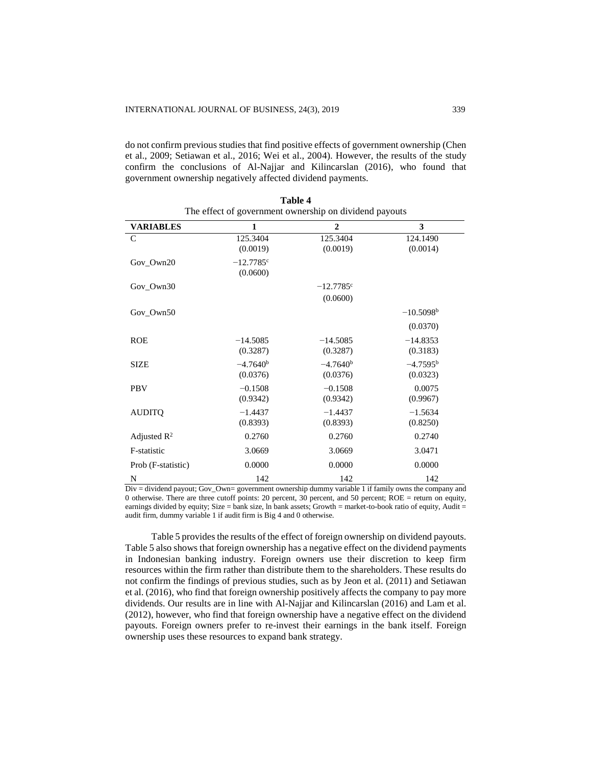do not confirm previous studies that find positive effects of government ownership (Chen et al., 2009; Setiawan et al., 2016; Wei et al., 2004). However, the results of the study confirm the conclusions of Al-Najjar and Kilincarslan (2016), who found that government ownership negatively affected dividend payments.

| <b>VARIABLES</b>   | 1                        | $\overline{2}$          | 3                             |
|--------------------|--------------------------|-------------------------|-------------------------------|
| $\mathsf{C}$       | 125.3404<br>(0.0019)     | 125.3404<br>(0.0019)    | 124.1490<br>(0.0014)          |
| Gov_Own20          | $-12.7785$ c<br>(0.0600) |                         |                               |
| Gov Own30          |                          | $-12.7785$ <sup>c</sup> |                               |
|                    |                          | (0.0600)                |                               |
| Gov_Own50          |                          |                         | $-10.5098b$                   |
|                    |                          |                         | (0.0370)                      |
| <b>ROE</b>         | $-14.5085$<br>(0.3287)   | $-14.5085$<br>(0.3287)  | $-14.8353$<br>(0.3183)        |
| <b>SIZE</b>        | $-4.7640b$<br>(0.0376)   | $-4.7640b$<br>(0.0376)  | $-4.7595^{\rm b}$<br>(0.0323) |
| <b>PBV</b>         | $-0.1508$<br>(0.9342)    | $-0.1508$<br>(0.9342)   | 0.0075<br>(0.9967)            |
| <b>AUDITQ</b>      | $-1.4437$<br>(0.8393)    | $-1.4437$<br>(0.8393)   | $-1.5634$<br>(0.8250)         |
| Adjusted $R^2$     | 0.2760                   | 0.2760                  | 0.2740                        |
| F-statistic        | 3.0669                   | 3.0669                  | 3.0471                        |
| Prob (F-statistic) | 0.0000                   | 0.0000                  | 0.0000                        |
| N<br>11.11111      | 142                      | 142<br>counterful about | 142                           |

**Table 4** The effect of government ownership on dividend payouts

Div = dividend payout; Gov\_Own= government ownership dummy variable 1 if family owns the company and 0 otherwise. There are three cutoff points: 20 percent, 30 percent, and 50 percent; ROE = return on equity, earnings divided by equity; Size = bank size, ln bank assets; Growth = market-to-book ratio of equity, Audit = audit firm, dummy variable 1 if audit firm is Big 4 and 0 otherwise.

Table 5 provides the results of the effect of foreign ownership on dividend payouts. Table 5 also shows that foreign ownership has a negative effect on the dividend payments in Indonesian banking industry. Foreign owners use their discretion to keep firm resources within the firm rather than distribute them to the shareholders. These results do not confirm the findings of previous studies, such as by Jeon et al. (2011) and Setiawan et al. (2016), who find that foreign ownership positively affects the company to pay more dividends. Our results are in line with Al-Najjar and Kilincarslan (2016) and Lam et al. (2012), however, who find that foreign ownership have a negative effect on the dividend payouts. Foreign owners prefer to re-invest their earnings in the bank itself. Foreign ownership uses these resources to expand bank strategy.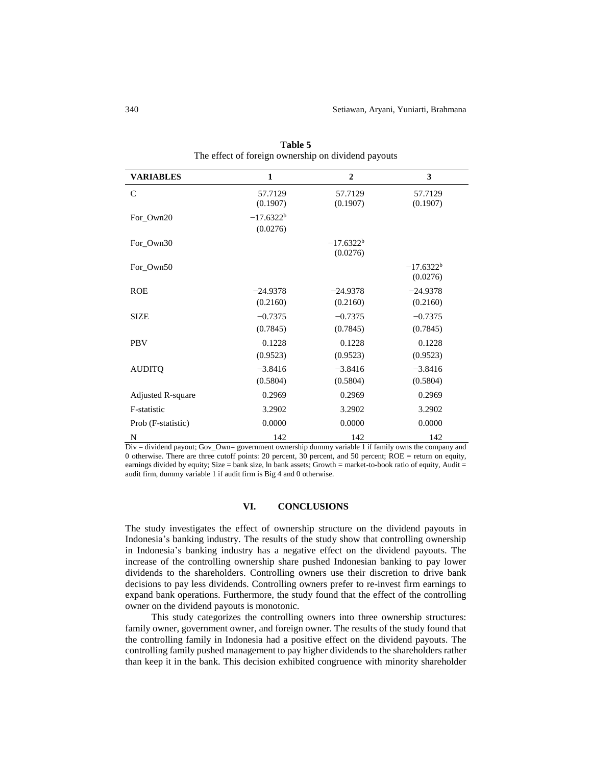| <b>VARIABLES</b>   | 1                        | $\overline{2}$           | 3                        |
|--------------------|--------------------------|--------------------------|--------------------------|
| $\mathsf{C}$       | 57.7129<br>(0.1907)      | 57.7129<br>(0.1907)      | 57.7129<br>(0.1907)      |
| For Own20          | $-17.6322^b$<br>(0.0276) |                          |                          |
| For_Own30          |                          | $-17.6322^b$<br>(0.0276) |                          |
| For_Own50          |                          |                          | $-17.6322^b$<br>(0.0276) |
| <b>ROE</b>         | $-24.9378$<br>(0.2160)   | $-24.9378$<br>(0.2160)   | $-24.9378$<br>(0.2160)   |
| <b>SIZE</b>        | $-0.7375$<br>(0.7845)    | $-0.7375$<br>(0.7845)    | $-0.7375$<br>(0.7845)    |
| <b>PBV</b>         | 0.1228<br>(0.9523)       | 0.1228<br>(0.9523)       | 0.1228<br>(0.9523)       |
| <b>AUDITQ</b>      | $-3.8416$<br>(0.5804)    | $-3.8416$<br>(0.5804)    | $-3.8416$<br>(0.5804)    |
| Adjusted R-square  | 0.2969                   | 0.2969                   | 0.2969                   |
| F-statistic        | 3.2902                   | 3.2902                   | 3.2902                   |
| Prob (F-statistic) | 0.0000                   | 0.0000                   | 0.0000                   |
| N                  | 142                      | 142                      | 142                      |

**Table 5** The effect of foreign ownership on dividend payouts

Div = dividend payout; Gov\_Own= government ownership dummy variable 1 if family owns the company and 0 otherwise. There are three cutoff points: 20 percent, 30 percent, and 50 percent; ROE = return on equity, earnings divided by equity; Size = bank size, ln bank assets; Growth = market-to-book ratio of equity, Audit = audit firm, dummy variable 1 if audit firm is Big 4 and 0 otherwise.

# **VI. CONCLUSIONS**

The study investigates the effect of ownership structure on the dividend payouts in Indonesia's banking industry. The results of the study show that controlling ownership in Indonesia's banking industry has a negative effect on the dividend payouts. The increase of the controlling ownership share pushed Indonesian banking to pay lower dividends to the shareholders. Controlling owners use their discretion to drive bank decisions to pay less dividends. Controlling owners prefer to re-invest firm earnings to expand bank operations. Furthermore, the study found that the effect of the controlling owner on the dividend payouts is monotonic.

This study categorizes the controlling owners into three ownership structures: family owner, government owner, and foreign owner. The results of the study found that the controlling family in Indonesia had a positive effect on the dividend payouts. The controlling family pushed management to pay higher dividends to the shareholders rather than keep it in the bank. This decision exhibited congruence with minority shareholder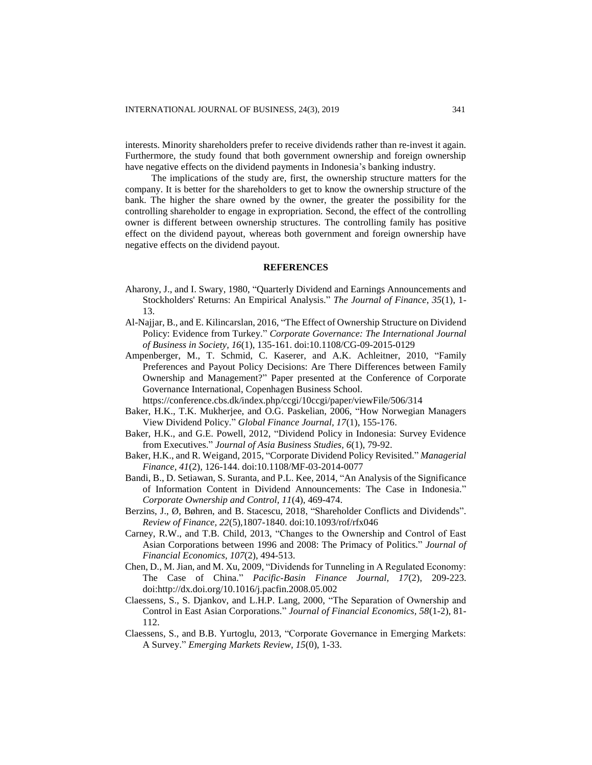interests. Minority shareholders prefer to receive dividends rather than re-invest it again. Furthermore, the study found that both government ownership and foreign ownership have negative effects on the dividend payments in Indonesia's banking industry.

The implications of the study are, first, the ownership structure matters for the company. It is better for the shareholders to get to know the ownership structure of the bank. The higher the share owned by the owner, the greater the possibility for the controlling shareholder to engage in expropriation. Second, the effect of the controlling owner is different between ownership structures. The controlling family has positive effect on the dividend payout, whereas both government and foreign ownership have negative effects on the dividend payout.

#### **REFERENCES**

- Aharony, J., and I. Swary, 1980, "Quarterly Dividend and Earnings Announcements and Stockholders' Returns: An Empirical Analysis." *The Journal of Finance, 35*(1), 1- 13.
- Al-Najjar, B., and E. Kilincarslan, 2016, "The Effect of Ownership Structure on Dividend Policy: Evidence from Turkey." *Corporate Governance: The International Journal of Business in Society, 16*(1), 135-161. doi:10.1108/CG-09-2015-0129
- Ampenberger, M., T. Schmid, C. Kaserer, and A.K. Achleitner, 2010, "Family Preferences and Payout Policy Decisions: Are There Differences between Family Ownership and Management?" Paper presented at the Conference of Corporate Governance International, Copenhagen Business School.

https://conference.cbs.dk/index.php/ccgi/10ccgi/paper/viewFile/506/314

- Baker, H.K., T.K. Mukherjee, and O.G. Paskelian, 2006, "How Norwegian Managers View Dividend Policy." *Global Finance Journal, 17*(1), 155-176.
- Baker, H.K., and G.E. Powell, 2012, "Dividend Policy in Indonesia: Survey Evidence from Executives." *Journal of Asia Business Studies, 6*(1), 79-92.
- Baker, H.K., and R. Weigand, 2015, "Corporate Dividend Policy Revisited." *Managerial Finance, 41*(2), 126-144. doi:10.1108/MF-03-2014-0077
- Bandi, B., D. Setiawan, S. Suranta, and P.L. Kee, 2014, "An Analysis of the Significance of Information Content in Dividend Announcements: The Case in Indonesia." *Corporate Ownership and Control, 11*(4), 469-474.
- Berzins, J., Ø, Bøhren, and B. Stacescu, 2018, "Shareholder Conflicts and Dividends". *Review of Finance, 22*(5),1807-1840. doi:10.1093/rof/rfx046
- Carney, R.W., and T.B. Child, 2013, "Changes to the Ownership and Control of East Asian Corporations between 1996 and 2008: The Primacy of Politics." *Journal of Financial Economics, 107*(2), 494-513.
- Chen, D., M. Jian, and M. Xu, 2009, "Dividends for Tunneling in A Regulated Economy: The Case of China." *Pacific-Basin Finance Journal, 17*(2), 209-223. doi:http://dx.doi.org/10.1016/j.pacfin.2008.05.002
- Claessens, S., S. Djankov, and L.H.P. Lang, 2000, "The Separation of Ownership and Control in East Asian Corporations." *Journal of Financial Economics, 58*(1-2), 81- 112.
- Claessens, S., and B.B. Yurtoglu, 2013, "Corporate Governance in Emerging Markets: A Survey." *Emerging Markets Review, 15*(0), 1-33.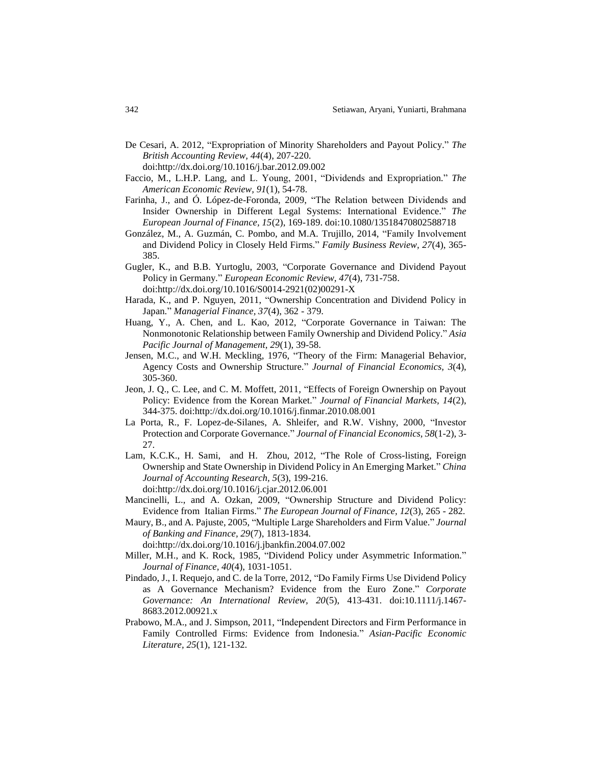De Cesari, A. 2012, "Expropriation of Minority Shareholders and Payout Policy." *The British Accounting Review, 44*(4), 207-220.

doi:http://dx.doi.org/10.1016/j.bar.2012.09.002

- Faccio, M., L.H.P. Lang, and L. Young, 2001, "Dividends and Expropriation." *The American Economic Review, 91*(1), 54-78.
- Farinha, J., and Ó. López-de-Foronda, 2009, "The Relation between Dividends and Insider Ownership in Different Legal Systems: International Evidence." *The European Journal of Finance, 15*(2), 169-189. doi:10.1080/13518470802588718
- González, M., A. Guzmán, C. Pombo, and M.A. Trujillo, 2014, "Family Involvement and Dividend Policy in Closely Held Firms." *Family Business Review, 27*(4), 365- 385.
- Gugler, K., and B.B. Yurtoglu, 2003, "Corporate Governance and Dividend Payout Policy in Germany." *European Economic Review, 47*(4), 731-758. doi:http://dx.doi.org/10.1016/S0014-2921(02)00291-X
- Harada, K., and P. Nguyen, 2011, "Ownership Concentration and Dividend Policy in Japan." *Managerial Finance, 37*(4), 362 - 379.
- Huang, Y., A. Chen, and L. Kao, 2012, "Corporate Governance in Taiwan: The Nonmonotonic Relationship between Family Ownership and Dividend Policy." *Asia Pacific Journal of Management, 29*(1), 39-58.
- Jensen, M.C., and W.H. Meckling, 1976, "Theory of the Firm: Managerial Behavior, Agency Costs and Ownership Structure." *Journal of Financial Economics, 3*(4), 305-360.
- Jeon, J. Q., C. Lee, and C. M. Moffett, 2011, "Effects of Foreign Ownership on Payout Policy: Evidence from the Korean Market." *Journal of Financial Markets, 14*(2), 344-375. doi:http://dx.doi.org/10.1016/j.finmar.2010.08.001
- La Porta, R., F. Lopez-de-Silanes, A. Shleifer, and R.W. Vishny, 2000, "Investor Protection and Corporate Governance." *Journal of Financial Economics, 58*(1-2), 3- 27.
- Lam, K.C.K., H. Sami, and H. Zhou, 2012, "The Role of Cross-listing, Foreign Ownership and State Ownership in Dividend Policy in An Emerging Market." *China Journal of Accounting Research, 5*(3), 199-216. doi:http://dx.doi.org/10.1016/j.cjar.2012.06.001
- Mancinelli, L., and A. Ozkan, 2009, "Ownership Structure and Dividend Policy: Evidence from Italian Firms." *The European Journal of Finance, 12*(3), 265 - 282.
- Maury, B., and A. Pajuste, 2005, "Multiple Large Shareholders and Firm Value." *Journal of Banking and Finance, 29*(7), 1813-1834.

doi:http://dx.doi.org/10.1016/j.jbankfin.2004.07.002

- Miller, M.H., and K. Rock, 1985, "Dividend Policy under Asymmetric Information." *Journal of Finance, 40*(4), 1031-1051.
- Pindado, J., I. Requejo, and C. de la Torre, 2012, "Do Family Firms Use Dividend Policy as A Governance Mechanism? Evidence from the Euro Zone." *Corporate Governance: An International Review, 20*(5), 413-431. doi:10.1111/j.1467- 8683.2012.00921.x
- Prabowo, M.A., and J. Simpson, 2011, "Independent Directors and Firm Performance in Family Controlled Firms: Evidence from Indonesia." *Asian-Pacific Economic Literature, 25*(1), 121-132.